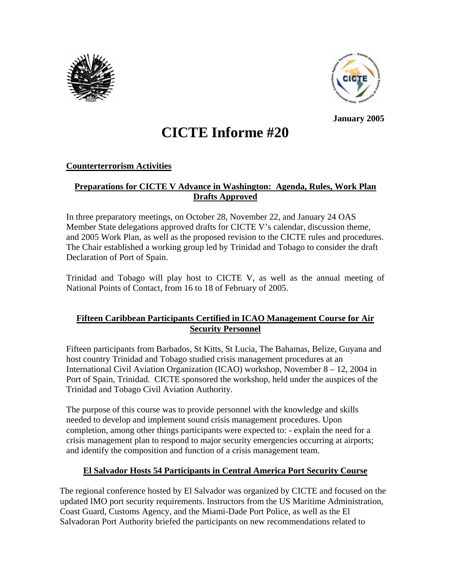



 **January 2005** 

# **CICTE Informe #20**

# **Counterterrorism Activities**

# **Preparations for CICTE V Advance in Washington: Agenda, Rules, Work Plan Drafts Approved**

In three preparatory meetings, on October 28, November 22, and January 24 OAS Member State delegations approved drafts for CICTE V's calendar, discussion theme, and 2005 Work Plan, as well as the proposed revision to the CICTE rules and procedures. The Chair established a working group led by Trinidad and Tobago to consider the draft Declaration of Port of Spain.

Trinidad and Tobago will play host to CICTE V, as well as the annual meeting of National Points of Contact, from 16 to 18 of February of 2005.

# **Fifteen Caribbean Participants Certified in ICAO Management Course for Air Security Personnel**

Fifteen participants from Barbados, St Kitts, St Lucia, The Bahamas, Belize, Guyana and host country Trinidad and Tobago studied crisis management procedures at an International Civil Aviation Organization (ICAO) workshop, November 8 – 12, 2004 in Port of Spain, Trinidad. CICTE sponsored the workshop, held under the auspices of the Trinidad and Tobago Civil Aviation Authority.

The purpose of this course was to provide personnel with the knowledge and skills needed to develop and implement sound crisis management procedures. Upon completion, among other things participants were expected to: - explain the need for a crisis management plan to respond to major security emergencies occurring at airports; and identify the composition and function of a crisis management team.

# **El Salvador Hosts 54 Participants in Central America Port Security Course**

The regional conference hosted by El Salvador was organized by CICTE and focused on the updated IMO port security requirements. Instructors from the US Maritime Administration, Coast Guard, Customs Agency, and the Miami-Dade Port Police, as well as the El Salvadoran Port Authority briefed the participants on new recommendations related to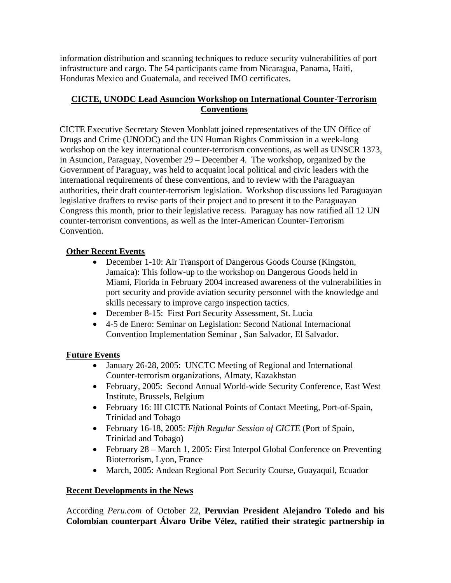information distribution and scanning techniques to reduce security vulnerabilities of port infrastructure and cargo. The 54 participants came from Nicaragua, Panama, Haiti, Honduras Mexico and Guatemala, and received IMO certificates.

# **CICTE, UNODC Lead Asuncion Workshop on International Counter-Terrorism Conventions**

CICTE Executive Secretary Steven Monblatt joined representatives of the UN Office of Drugs and Crime (UNODC) and the UN Human Rights Commission in a week-long workshop on the key international counter-terrorism conventions, as well as UNSCR 1373, in Asuncion, Paraguay, November 29 – December 4. The workshop, organized by the Government of Paraguay, was held to acquaint local political and civic leaders with the international requirements of these conventions, and to review with the Paraguayan authorities, their draft counter-terrorism legislation. Workshop discussions led Paraguayan legislative drafters to revise parts of their project and to present it to the Paraguayan Congress this month, prior to their legislative recess. Paraguay has now ratified all 12 UN counter-terrorism conventions, as well as the Inter-American Counter-Terrorism Convention.

# **Other Recent Events**

- December 1-10: Air Transport of Dangerous Goods Course (Kingston, Jamaica): This follow-up to the workshop on Dangerous Goods held in Miami, Florida in February 2004 increased awareness of the vulnerabilities in port security and provide aviation security personnel with the knowledge and skills necessary to improve cargo inspection tactics.
- December 8-15: First Port Security Assessment, St. Lucia
- 4-5 de Enero: Seminar on Legislation: Second National Internacional Convention Implementation Seminar , San Salvador, El Salvador.

## **Future Events**

- January 26-28, 2005: UNCTC Meeting of Regional and International Counter-terrorism organizations, Almaty, Kazakhstan
- February, 2005: Second Annual World-wide Security Conference, East West Institute, Brussels, Belgium
- February 16: III CICTE National Points of Contact Meeting, Port-of-Spain, Trinidad and Tobago
- February 16-18, 2005: *Fifth Regular Session of CICTE* (Port of Spain, Trinidad and Tobago)
- February 28 March 1, 2005: First Interpol Global Conference on Preventing Bioterrorism, Lyon, France
- March, 2005: Andean Regional Port Security Course, Guayaquil, Ecuador

## **Recent Developments in the News**

According *Peru.com* of October 22, **Peruvian President Alejandro Toledo and his Colombian counterpart Álvaro Uribe Vélez, ratified their strategic partnership in**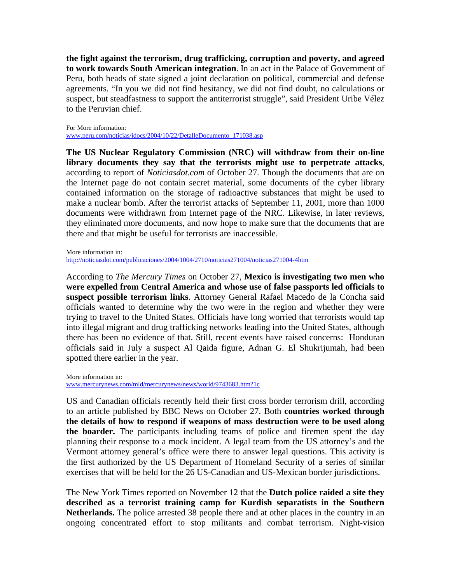**the fight against the terrorism, drug trafficking, corruption and poverty, and agreed to work towards South American integration**. In an act in the Palace of Government of Peru, both heads of state signed a joint declaration on political, commercial and defense agreements. "In you we did not find hesitancy, we did not find doubt, no calculations or suspect, but steadfastness to support the antiterrorist struggle", said President Uribe Vélez to the Peruvian chief.

For More information: www.peru.com/noticias/idocs/2004/10/22/DetalleDocumento\_171038.asp

**The US Nuclear Regulatory Commission (NRC) will withdraw from their on-line library documents they say that the terrorists might use to perpetrate attacks**, according to report of *Noticiasdot.com* of October 27. Though the documents that are on the Internet page do not contain secret material, some documents of the cyber library contained information on the storage of radioactive substances that might be used to make a nuclear bomb. After the terrorist attacks of September 11, 2001, more than 1000 documents were withdrawn from Internet page of the NRC. Likewise, in later reviews, they eliminated more documents, and now hope to make sure that the documents that are there and that might be useful for terrorists are inaccessible.

More information in:

http://noticiasdot.com/publicaciones/2004/1004/2710/noticias271004/noticias271004-4htm

According to *The Mercury Times* on October 27, **Mexico is investigating two men who were expelled from Central America and whose use of false passports led officials to suspect possible terrorism links**. Attorney General Rafael Macedo de la Concha said officials wanted to determine why the two were in the region and whether they were trying to travel to the United States. Officials have long worried that terrorists would tap into illegal migrant and drug trafficking networks leading into the United States, although there has been no evidence of that. Still, recent events have raised concerns: Honduran officials said in July a suspect Al Qaida figure, Adnan G. El Shukrijumah, had been spotted there earlier in the year.

More information in:

www.mercurynews.com/mld/mercurynews/news/world/9743683.htm?1c

US and Canadian officials recently held their first cross border terrorism drill, according to an article published by BBC News on October 27. Both **countries worked through the details of how to respond if weapons of mass destruction were to be used along the boarder.** The participants including teams of police and firemen spent the day planning their response to a mock incident. A legal team from the US attorney's and the Vermont attorney general's office were there to answer legal questions. This activity is the first authorized by the US Department of Homeland Security of a series of similar exercises that will be held for the 26 US-Canadian and US-Mexican border jurisdictions.

The New York Times reported on November 12 that the **Dutch police raided a site they described as a terrorist training camp for Kurdish separatists in the Southern Netherlands.** The police arrested 38 people there and at other places in the country in an ongoing concentrated effort to stop militants and combat terrorism. Night-vision